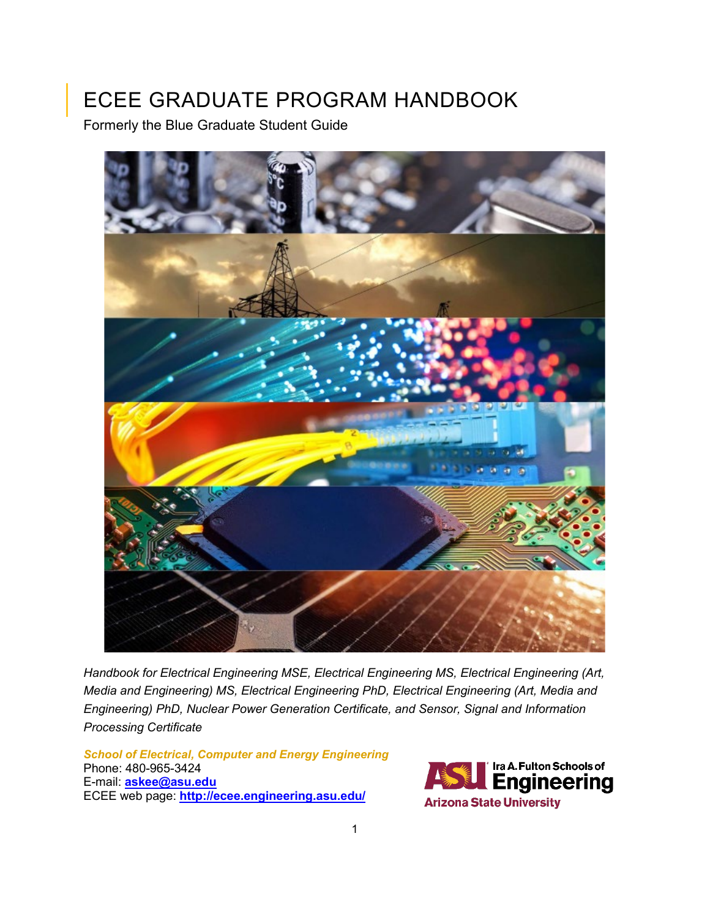# <span id="page-0-0"></span>ECEE GRADUATE PROGRAM HANDBOOK

Formerly the Blue Graduate Student Guide



*Handbook for Electrical Engineering MSE, Electrical Engineering MS, Electrical Engineering (Art, Media and Engineering) MS, Electrical Engineering PhD, Electrical Engineering (Art, Media and Engineering) PhD, Nuclear Power Generation Certificate, and Sensor, Signal and Information Processing Certificate*

*School of Electrical, Computer and Energy Engineering* Phone: 480-965-3424 E-mail: **[askee@asu.edu](mailto:askee@asu.edu)** ECEE web page: **<http://ecee.engineering.asu.edu/>**

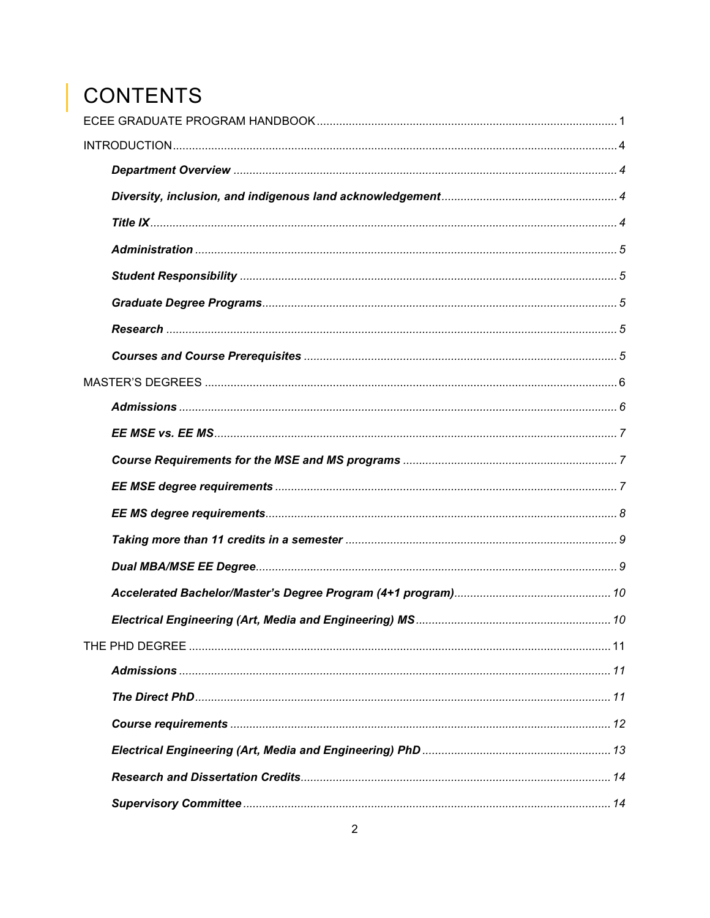# | CONTENTS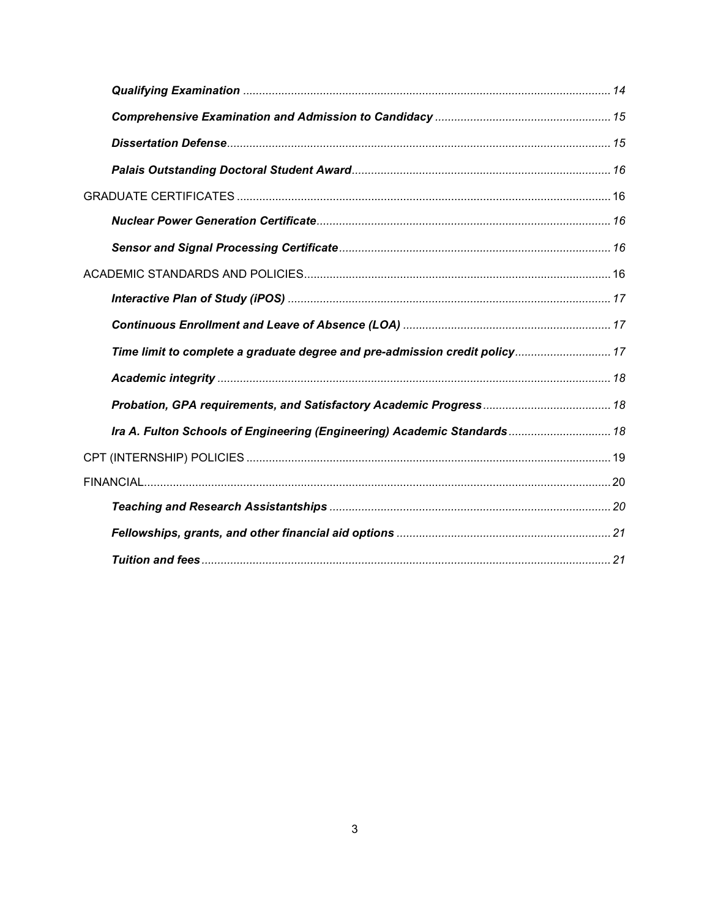| Time limit to complete a graduate degree and pre-admission credit policy 17 |  |
|-----------------------------------------------------------------------------|--|
|                                                                             |  |
|                                                                             |  |
| Ira A. Fulton Schools of Engineering (Engineering) Academic Standards 18    |  |
|                                                                             |  |
|                                                                             |  |
|                                                                             |  |
|                                                                             |  |
|                                                                             |  |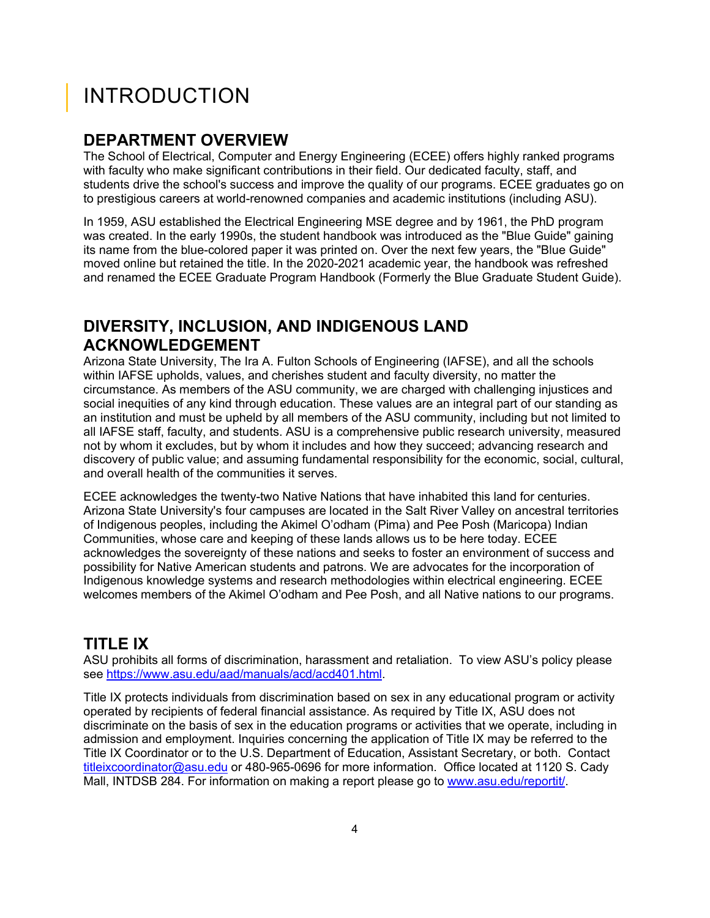# <span id="page-3-0"></span>INTRODUCTION

### <span id="page-3-1"></span>**DEPARTMENT OVERVIEW**

The School of Electrical, Computer and Energy Engineering (ECEE) offers highly ranked programs with faculty who make significant contributions in their field. Our dedicated faculty, staff, and students drive the school's success and improve the quality of our programs. ECEE graduates go on to prestigious careers at world-renowned companies and academic institutions (including ASU).

In 1959, ASU established the Electrical Engineering MSE degree and by 1961, the PhD program was created. In the early 1990s, the student handbook was introduced as the "Blue Guide" gaining its name from the blue-colored paper it was printed on. Over the next few years, the "Blue Guide" moved online but retained the title. In the 2020-2021 academic year, the handbook was refreshed and renamed the ECEE Graduate Program Handbook (Formerly the Blue Graduate Student Guide).

# <span id="page-3-2"></span>**DIVERSITY, INCLUSION, AND INDIGENOUS LAND ACKNOWLEDGEMENT**

Arizona State University, The Ira A. Fulton Schools of Engineering (IAFSE), and all the schools within IAFSE upholds, values, and cherishes student and faculty diversity, no matter the circumstance. As members of the ASU community, we are charged with challenging injustices and social inequities of any kind through education. These values are an integral part of our standing as an institution and must be upheld by all members of the ASU community, including but not limited to all IAFSE staff, faculty, and students. ASU is a comprehensive public research university, measured not by whom it excludes, but by whom it includes and how they succeed; advancing research and discovery of public value; and assuming fundamental responsibility for the economic, social, cultural, and overall health of the communities it serves.

ECEE acknowledges the twenty-two Native Nations that have inhabited this land for centuries. Arizona State University's four campuses are located in the Salt River Valley on ancestral territories of Indigenous peoples, including the Akimel O'odham (Pima) and Pee Posh (Maricopa) Indian Communities, whose care and keeping of these lands allows us to be here today. ECEE acknowledges the sovereignty of these nations and seeks to foster an environment of success and possibility for Native American students and patrons. We are advocates for the incorporation of Indigenous knowledge systems and research methodologies within electrical engineering. ECEE welcomes members of the Akimel O'odham and Pee Posh, and all Native nations to our programs.

# <span id="page-3-3"></span>**TITLE IX**

ASU prohibits all forms of discrimination, harassment and retaliation. To view ASU's policy please see [https://www.asu.edu/aad/manuals/acd/acd401.html.](https://www.asu.edu/aad/manuals/acd/acd401.html)

Title IX protects individuals from discrimination based on sex in any educational program or activity operated by recipients of federal financial assistance. As required by Title IX, ASU does not discriminate on the basis of sex in the education programs or activities that we operate, including in admission and employment. Inquiries concerning the application of Title IX may be referred to the Title IX Coordinator or to the U.S. Department of Education, Assistant Secretary, or both. Contact [titleixcoordinator@asu.edu](mailto:titleixcoordinator@asu.edu) or 480-965-0696 for more information. Office located at 1120 S. Cady Mall, INTDSB 284. For information on making a report please go to [www.asu.edu/reportit/.](http://www.asu.edu/reportit/)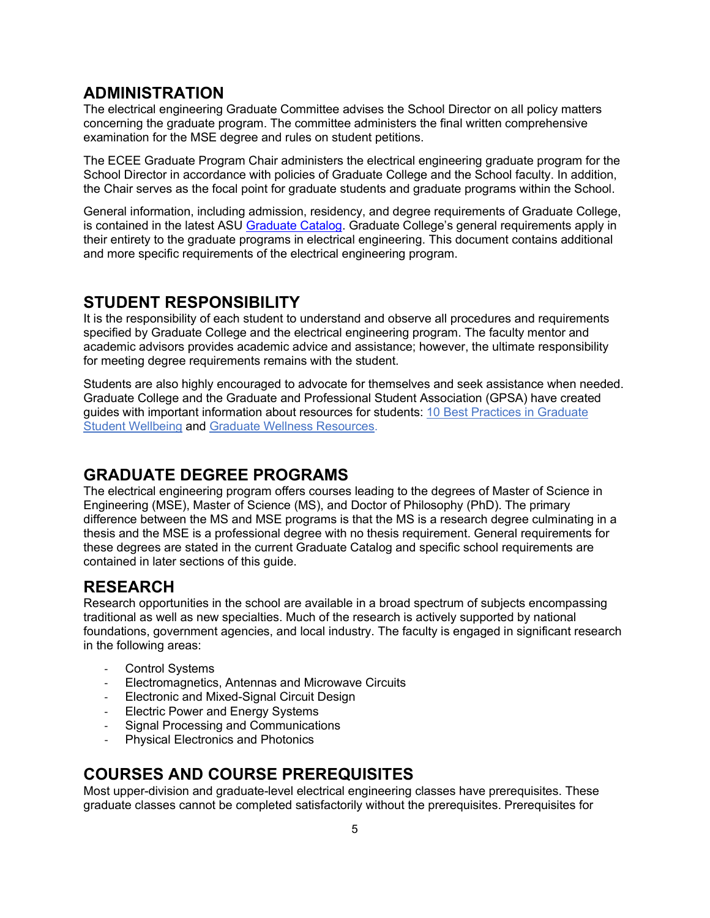### <span id="page-4-0"></span>**ADMINISTRATION**

The electrical engineering Graduate Committee advises the School Director on all policy matters concerning the graduate program. The committee administers the final written comprehensive examination for the MSE degree and rules on student petitions.

The ECEE Graduate Program Chair administers the electrical engineering graduate program for the School Director in accordance with policies of Graduate College and the School faculty. In addition, the Chair serves as the focal point for graduate students and graduate programs within the School.

General information, including admission, residency, and degree requirements of Graduate College, is contained in the latest ASU [Graduate Catalog.](https://webapp4.asu.edu/catalog/) Graduate College's general requirements apply in their entirety to the graduate programs in electrical engineering. This document contains additional and more specific requirements of the electrical engineering program.

### <span id="page-4-1"></span>**STUDENT RESPONSIBILITY**

It is the responsibility of each student to understand and observe all procedures and requirements specified by Graduate College and the electrical engineering program. The faculty mentor and academic advisors provides academic advice and assistance; however, the ultimate responsibility for meeting degree requirements remains with the student.

Students are also highly encouraged to advocate for themselves and seek assistance when needed. Graduate College and the Graduate and Professional Student Association (GPSA) have created guides with important information about resources for students: [10 Best Practices in Graduate](https://graduate.asu.edu/sites/default/files/student_well_being_best_practice.pdf)  [Student Wellbeing](https://graduate.asu.edu/sites/default/files/student_well_being_best_practice.pdf) and [Graduate Wellness Resources.](https://graduate.asu.edu/sites/default/files/wellness_resources.pdf)

## <span id="page-4-2"></span>**GRADUATE DEGREE PROGRAMS**

The electrical engineering program offers courses leading to the degrees of Master of Science in Engineering (MSE), Master of Science (MS), and Doctor of Philosophy (PhD). The primary difference between the MS and MSE programs is that the MS is a research degree culminating in a thesis and the MSE is a professional degree with no thesis requirement. General requirements for these degrees are stated in the current Graduate Catalog and specific school requirements are contained in later sections of this guide.

# <span id="page-4-3"></span>**RESEARCH**

Research opportunities in the school are available in a broad spectrum of subjects encompassing traditional as well as new specialties. Much of the research is actively supported by national foundations, government agencies, and local industry. The faculty is engaged in significant research in the following areas:

- Control Systems
- Electromagnetics, Antennas and Microwave Circuits
- Electronic and Mixed-Signal Circuit Design
- Electric Power and Energy Systems
- Signal Processing and Communications
- Physical Electronics and Photonics

# <span id="page-4-4"></span>**COURSES AND COURSE PREREQUISITES**

Most upper-division and graduate-level electrical engineering classes have prerequisites. These graduate classes cannot be completed satisfactorily without the prerequisites. Prerequisites for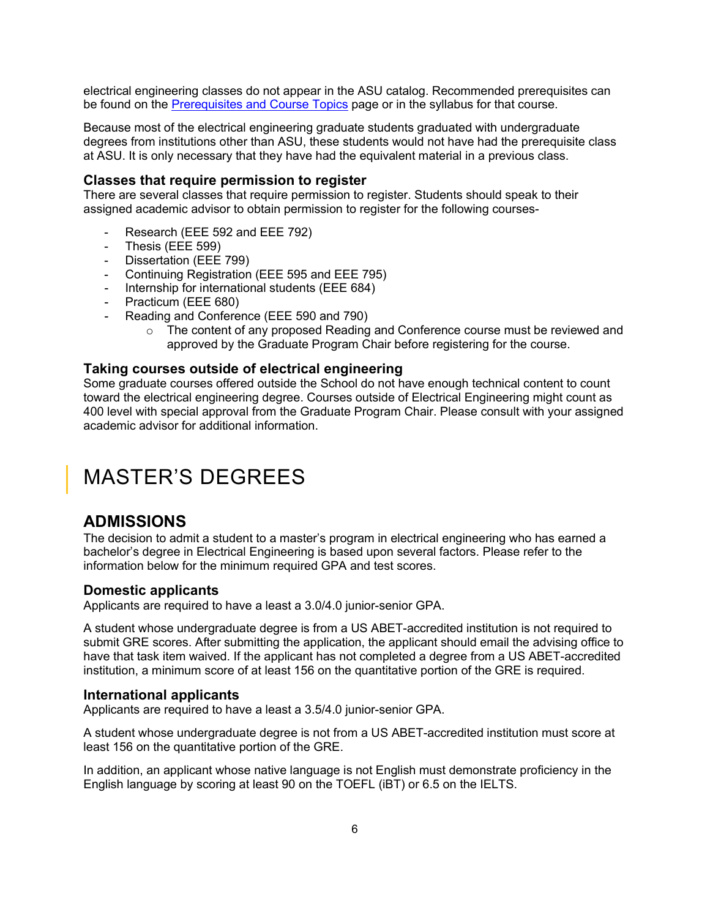electrical engineering classes do not appear in the ASU catalog. Recommended prerequisites can be found on the [Prerequisites and Course Topics](http://ecee.engineering.asu.edu/academics/doctoral-degrees/course-prerequisites-and-syllabus/) page or in the syllabus for that course.

Because most of the electrical engineering graduate students graduated with undergraduate degrees from institutions other than ASU, these students would not have had the prerequisite class at ASU. It is only necessary that they have had the equivalent material in a previous class.

#### **Classes that require permission to register**

There are several classes that require permission to register. Students should speak to their assigned academic advisor to obtain permission to register for the following courses-

- Research (EEE 592 and EEE 792)
- Thesis (EEE 599)
- Dissertation (EEE 799)
- Continuing Registration (EEE 595 and EEE 795)
- Internship for international students (EEE 684)
- Practicum (EEE 680)
- Reading and Conference (EEE 590 and 790)
	- $\circ$  The content of any proposed Reading and Conference course must be reviewed and approved by the Graduate Program Chair before registering for the course.

#### **Taking courses outside of electrical engineering**

Some graduate courses offered outside the School do not have enough technical content to count toward the electrical engineering degree. Courses outside of Electrical Engineering might count as 400 level with special approval from the Graduate Program Chair. Please consult with your assigned academic advisor for additional information.

# <span id="page-5-0"></span>MASTER'S DEGREES

### <span id="page-5-1"></span>**ADMISSIONS**

The decision to admit a student to a master's program in electrical engineering who has earned a bachelor's degree in Electrical Engineering is based upon several factors. Please refer to the information below for the minimum required GPA and test scores.

#### **Domestic applicants**

Applicants are required to have a least a 3.0/4.0 junior-senior GPA.

A student whose undergraduate degree is from a US ABET-accredited institution is not required to submit GRE scores. After submitting the application, the applicant should email the advising office to have that task item waived. If the applicant has not completed a degree from a US ABET-accredited institution, a minimum score of at least 156 on the quantitative portion of the GRE is required.

#### **International applicants**

Applicants are required to have a least a 3.5/4.0 junior-senior GPA.

A student whose undergraduate degree is not from a US ABET-accredited institution must score at least 156 on the quantitative portion of the GRE.

In addition, an applicant whose native language is not English must demonstrate proficiency in the English language by scoring at least 90 on the TOEFL (iBT) or 6.5 on the IELTS.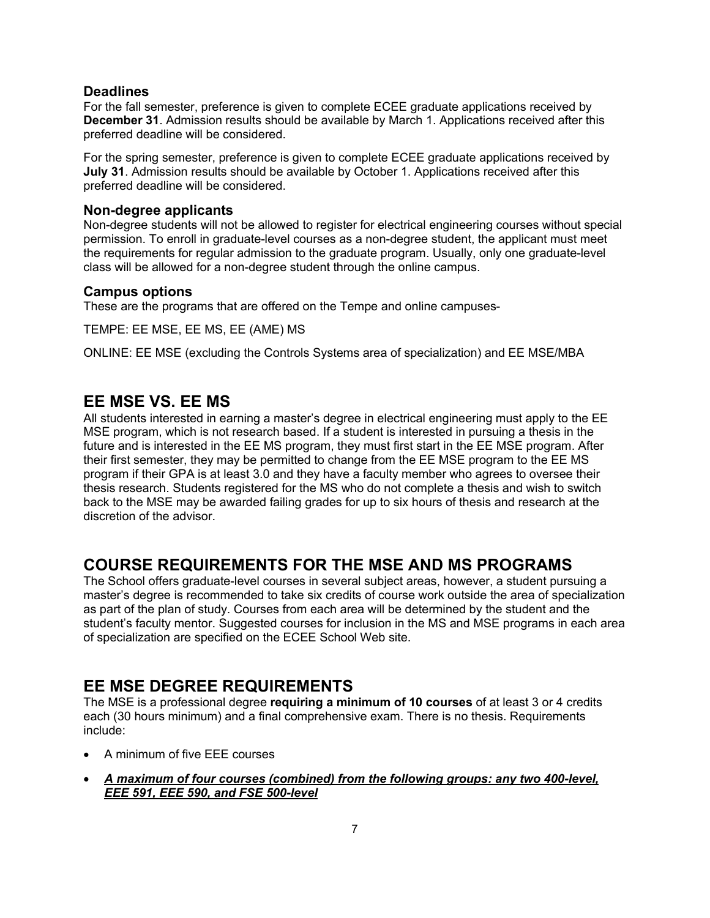#### **Deadlines**

For the fall semester, preference is given to complete ECEE graduate applications received by **December 31**. Admission results should be available by March 1. Applications received after this preferred deadline will be considered.

For the spring semester, preference is given to complete ECEE graduate applications received by **July 31**. Admission results should be available by October 1. Applications received after this preferred deadline will be considered.

#### **Non-degree applicants**

Non-degree students will not be allowed to register for electrical engineering courses without special permission. To enroll in graduate-level courses as a non-degree student, the applicant must meet the requirements for regular admission to the graduate program. Usually, only one graduate-level class will be allowed for a non-degree student through the online campus.

#### **Campus options**

These are the programs that are offered on the Tempe and online campuses-

TEMPE: EE MSE, EE MS, EE (AME) MS

ONLINE: EE MSE (excluding the Controls Systems area of specialization) and EE MSE/MBA

## <span id="page-6-0"></span>**EE MSE VS. EE MS**

All students interested in earning a master's degree in electrical engineering must apply to the EE MSE program, which is not research based. If a student is interested in pursuing a thesis in the future and is interested in the EE MS program, they must first start in the EE MSE program. After their first semester, they may be permitted to change from the EE MSE program to the EE MS program if their GPA is at least 3.0 and they have a faculty member who agrees to oversee their thesis research. Students registered for the MS who do not complete a thesis and wish to switch back to the MSE may be awarded failing grades for up to six hours of thesis and research at the discretion of the advisor.

# <span id="page-6-1"></span>**COURSE REQUIREMENTS FOR THE MSE AND MS PROGRAMS**

The School offers graduate-level courses in several subject areas, however, a student pursuing a master's degree is recommended to take six credits of course work outside the area of specialization as part of the plan of study. Courses from each area will be determined by the student and the student's faculty mentor. Suggested courses for inclusion in the MS and MSE programs in each area of specialization are specified on the ECEE School Web site.

# <span id="page-6-2"></span>**EE MSE DEGREE REQUIREMENTS**

The MSE is a professional degree **requiring a minimum of 10 courses** of at least 3 or 4 credits each (30 hours minimum) and a final comprehensive exam. There is no thesis. Requirements include:

- A minimum of five EEE courses
- *A maximum of four courses (combined) from the following groups: any two 400-level, EEE 591, EEE 590, and FSE 500-level*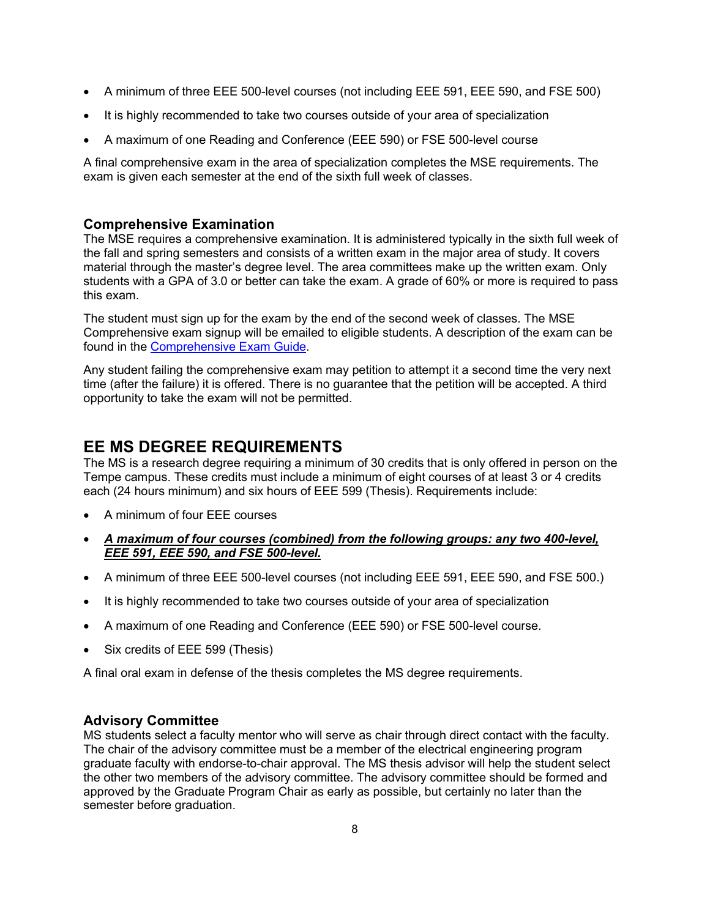- A minimum of three EEE 500-level courses (not including EEE 591, EEE 590, and FSE 500)
- It is highly recommended to take two courses outside of your area of specialization
- A maximum of one Reading and Conference (EEE 590) or FSE 500-level course

A final comprehensive exam in the area of specialization completes the MSE requirements. The exam is given each semester at the end of the sixth full week of classes.

### **Comprehensive Examination**

The MSE requires a comprehensive examination. It is administered typically in the sixth full week of the fall and spring semesters and consists of a written exam in the major area of study. It covers material through the master's degree level. The area committees make up the written exam. Only students with a GPA of 3.0 or better can take the exam. A grade of 60% or more is required to pass this exam.

The student must sign up for the exam by the end of the second week of classes. The MSE Comprehensive exam signup will be emailed to eligible students. A description of the exam can be found in the [Comprehensive Exam Guide.](http://ecee.engineering.asu.edu/comprehensive-exam-guide/)

Any student failing the comprehensive exam may petition to attempt it a second time the very next time (after the failure) it is offered. There is no guarantee that the petition will be accepted. A third opportunity to take the exam will not be permitted.

# <span id="page-7-0"></span>**EE MS DEGREE REQUIREMENTS**

The MS is a research degree requiring a minimum of 30 credits that is only offered in person on the Tempe campus. These credits must include a minimum of eight courses of at least 3 or 4 credits each (24 hours minimum) and six hours of EEE 599 (Thesis). Requirements include:

- A minimum of four EEE courses
- *A maximum of four courses (combined) from the following groups: any two 400-level, EEE 591, EEE 590, and FSE 500-level.*
- A minimum of three EEE 500-level courses (not including EEE 591, EEE 590, and FSE 500.)
- It is highly recommended to take two courses outside of your area of specialization
- A maximum of one Reading and Conference (EEE 590) or FSE 500-level course.
- Six credits of EEE 599 (Thesis)

A final oral exam in defense of the thesis completes the MS degree requirements.

### **Advisory Committee**

MS students select a faculty mentor who will serve as chair through direct contact with the faculty. The chair of the advisory committee must be a member of the electrical engineering program graduate faculty with endorse-to-chair approval. The MS thesis advisor will help the student select the other two members of the advisory committee. The advisory committee should be formed and approved by the Graduate Program Chair as early as possible, but certainly no later than the semester before graduation.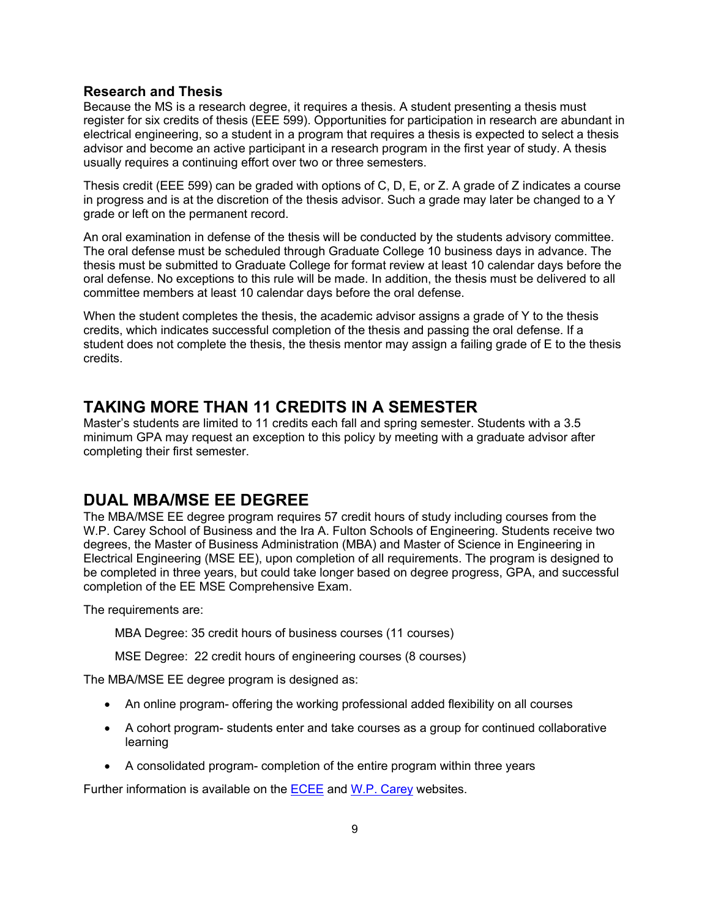#### **Research and Thesis**

Because the MS is a research degree, it requires a thesis. A student presenting a thesis must register for six credits of thesis (EEE 599). Opportunities for participation in research are abundant in electrical engineering, so a student in a program that requires a thesis is expected to select a thesis advisor and become an active participant in a research program in the first year of study. A thesis usually requires a continuing effort over two or three semesters.

Thesis credit (EEE 599) can be graded with options of C, D, E, or Z. A grade of Z indicates a course in progress and is at the discretion of the thesis advisor. Such a grade may later be changed to a Y grade or left on the permanent record.

An oral examination in defense of the thesis will be conducted by the students advisory committee. The oral defense must be scheduled through Graduate College 10 business days in advance. The thesis must be submitted to Graduate College for format review at least 10 calendar days before the oral defense. No exceptions to this rule will be made. In addition, the thesis must be delivered to all committee members at least 10 calendar days before the oral defense.

When the student completes the thesis, the academic advisor assigns a grade of Y to the thesis credits, which indicates successful completion of the thesis and passing the oral defense. If a student does not complete the thesis, the thesis mentor may assign a failing grade of E to the thesis credits.

### <span id="page-8-0"></span>**TAKING MORE THAN 11 CREDITS IN A SEMESTER**

Master's students are limited to 11 credits each fall and spring semester. Students with a 3.5 minimum GPA may request an exception to this policy by meeting with a graduate advisor after completing their first semester.

## <span id="page-8-1"></span>**DUAL MBA/MSE EE DEGREE**

The MBA/MSE EE degree program requires 57 credit hours of study including courses from the W.P. Carey School of Business and the Ira A. Fulton Schools of Engineering. Students receive two degrees, the Master of Business Administration (MBA) and Master of Science in Engineering in Electrical Engineering (MSE EE), upon completion of all requirements. The program is designed to be completed in three years, but could take longer based on degree progress, GPA, and successful completion of the EE MSE Comprehensive Exam.

The requirements are:

MBA Degree: 35 credit hours of business courses (11 courses)

MSE Degree: 22 credit hours of engineering courses (8 courses)

The MBA/MSE EE degree program is designed as:

- An online program- offering the working professional added flexibility on all courses
- A cohort program- students enter and take courses as a group for continued collaborative learning
- A consolidated program- completion of the entire program within three years

Further information is available on the [ECEE](http://ecee.engineering.asu.edu/academics/doctoral-degrees/electrical-engineering-m-b-a-m-s-e/) and [W.P. Carey](https://wpcarey.asu.edu/mba-programs/online/concurrent-degrees) websites.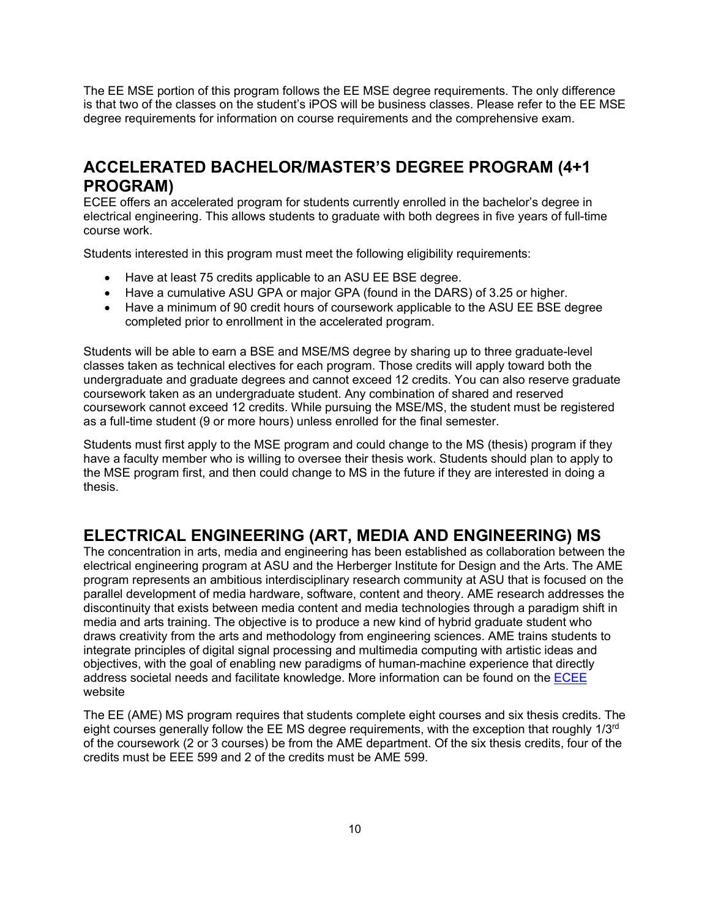The EE MSE portion of this program follows the EE MSE degree requirements. The only difference is that two of the classes on the student's iPOS will be business classes. Please refer to the EE MSE degree requirements for information on course requirements and the comprehensive exam.

# <span id="page-9-0"></span>**ACCELERATED BACHELOR/MASTER'S DEGREE PROGRAM (4+1 PROGRAM)**

ECEE offers an accelerated program for students currently enrolled in the bachelor's degree in electrical engineering. This allows students to graduate with both degrees in five years of full-time course work.

Students interested in this program must meet the following eligibility requirements:

- Have at least 75 credits applicable to an ASU EE BSE degree.
- Have a cumulative ASU GPA or major GPA (found in the DARS) of 3.25 or higher.
- Have a minimum of 90 credit hours of coursework applicable to the ASU EE BSE degree completed prior to enrollment in the accelerated program.

Students will be able to earn a BSE and MSE/MS degree by sharing up to three graduate-level classes taken as technical electives for each program. Those credits will apply toward both the undergraduate and graduate degrees and cannot exceed 12 credits. You can also reserve graduate coursework taken as an undergraduate student. Any combination of shared and reserved coursework cannot exceed 12 credits. While pursuing the MSE/MS, the student must be registered as a full-time student (9 or more hours) unless enrolled for the final semester.

Students must first apply to the MSE program and could change to the MS (thesis) program if they have a faculty member who is willing to oversee their thesis work. Students should plan to apply to the MSE program first, and then could change to MS in the future if they are interested in doing a thesis.

# <span id="page-9-1"></span>**ELECTRICAL ENGINEERING (ART, MEDIA AND ENGINEERING) MS**

The concentration in arts, media and engineering has been established as collaboration between the electrical engineering program at ASU and the Herberger Institute for Design and the Arts. The AME program represents an ambitious interdisciplinary research community at ASU that is focused on the parallel development of media hardware, software, content and theory. AME research addresses the discontinuity that exists between media content and media technologies through a paradigm shift in media and arts training. The objective is to produce a new kind of hybrid graduate student who draws creativity from the arts and methodology from engineering sciences. AME trains students to integrate principles of digital signal processing and multimedia computing with artistic ideas and objectives, with the goal of enabling new paradigms of human-machine experience that directly address societal needs and facilitate knowledge. More information can be found on th[e ECEE](https://ecee.engineering.asu.edu/arts-media-and-engineering-ms-phd/) website

The EE (AME) MS program requires that students complete eight courses and six thesis credits. The eight courses generally follow the EE MS degree requirements, with the exception that roughly 1/3<sup>rd</sup> of the coursework (2 or 3 courses) be from the AME department. Of the six thesis credits, four of the credits must be EEE 599 and 2 of the credits must be AME 599.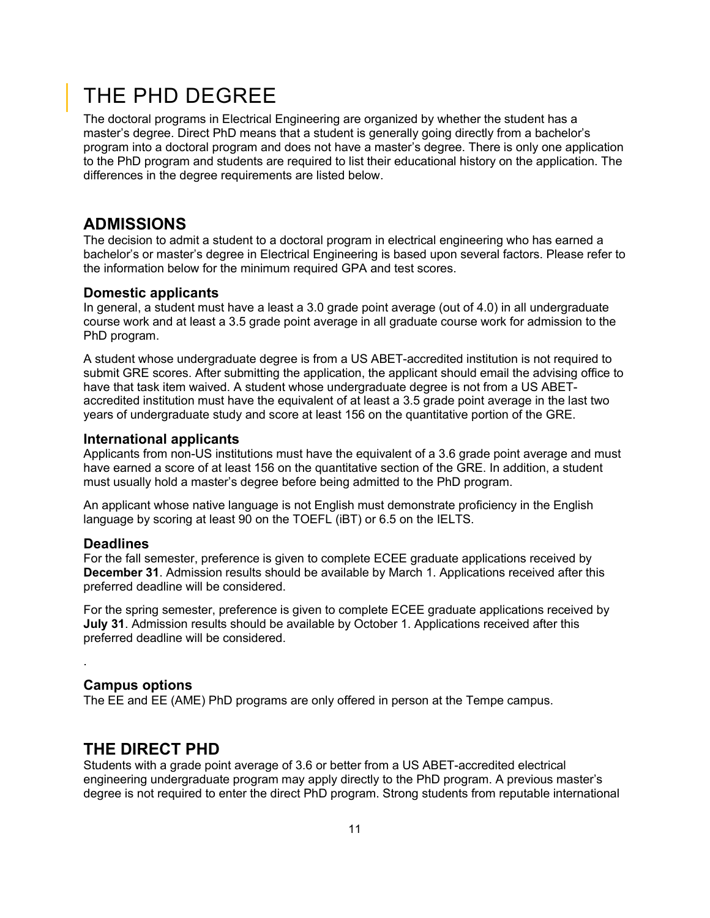# <span id="page-10-0"></span>THE PHD DEGREE

The doctoral programs in Electrical Engineering are organized by whether the student has a master's degree. Direct PhD means that a student is generally going directly from a bachelor's program into a doctoral program and does not have a master's degree. There is only one application to the PhD program and students are required to list their educational history on the application. The differences in the degree requirements are listed below.

## <span id="page-10-1"></span>**ADMISSIONS**

The decision to admit a student to a doctoral program in electrical engineering who has earned a bachelor's or master's degree in Electrical Engineering is based upon several factors. Please refer to the information below for the minimum required GPA and test scores.

#### **Domestic applicants**

In general, a student must have a least a 3.0 grade point average (out of 4.0) in all undergraduate course work and at least a 3.5 grade point average in all graduate course work for admission to the PhD program.

A student whose undergraduate degree is from a US ABET-accredited institution is not required to submit GRE scores. After submitting the application, the applicant should email the advising office to have that task item waived. A student whose undergraduate degree is not from a US ABETaccredited institution must have the equivalent of at least a 3.5 grade point average in the last two years of undergraduate study and score at least 156 on the quantitative portion of the GRE.

#### **International applicants**

Applicants from non-US institutions must have the equivalent of a 3.6 grade point average and must have earned a score of at least 156 on the quantitative section of the GRE. In addition, a student must usually hold a master's degree before being admitted to the PhD program.

An applicant whose native language is not English must demonstrate proficiency in the English language by scoring at least 90 on the TOEFL (iBT) or 6.5 on the IELTS.

#### **Deadlines**

.

For the fall semester, preference is given to complete ECEE graduate applications received by **December 31**. Admission results should be available by March 1. Applications received after this preferred deadline will be considered.

For the spring semester, preference is given to complete ECEE graduate applications received by **July 31**. Admission results should be available by October 1. Applications received after this preferred deadline will be considered.

#### **Campus options**

The EE and EE (AME) PhD programs are only offered in person at the Tempe campus.

### <span id="page-10-2"></span>**THE DIRECT PHD**

Students with a grade point average of 3.6 or better from a US ABET-accredited electrical engineering undergraduate program may apply directly to the PhD program. A previous master's degree is not required to enter the direct PhD program. Strong students from reputable international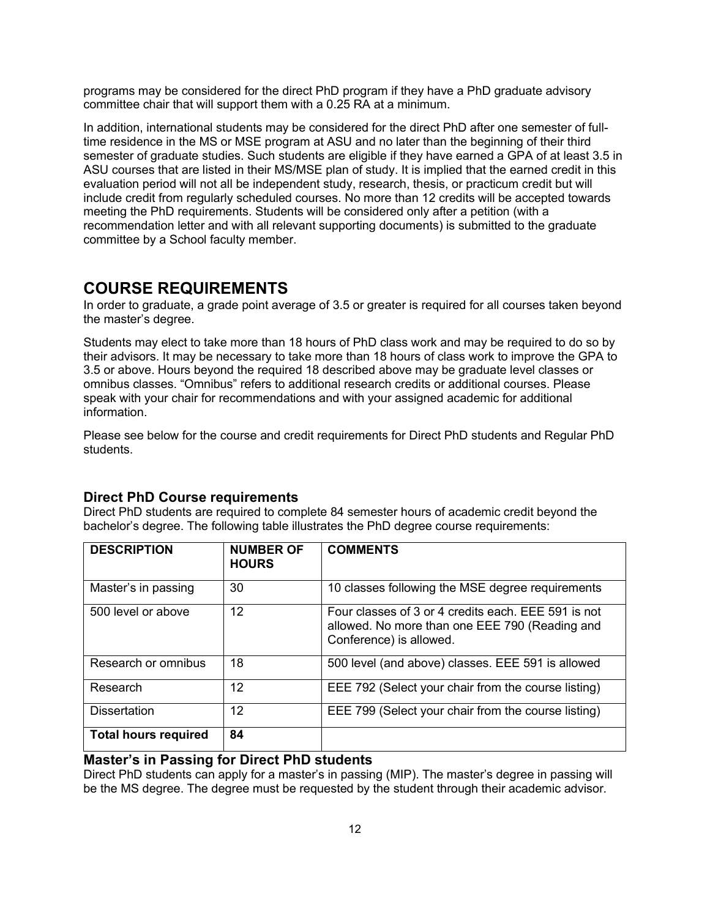programs may be considered for the direct PhD program if they have a PhD graduate advisory committee chair that will support them with a 0.25 RA at a minimum.

In addition, international students may be considered for the direct PhD after one semester of fulltime residence in the MS or MSE program at ASU and no later than the beginning of their third semester of graduate studies. Such students are eligible if they have earned a GPA of at least 3.5 in ASU courses that are listed in their MS/MSE plan of study. It is implied that the earned credit in this evaluation period will not all be independent study, research, thesis, or practicum credit but will include credit from regularly scheduled courses. No more than 12 credits will be accepted towards meeting the PhD requirements. Students will be considered only after a petition (with a recommendation letter and with all relevant supporting documents) is submitted to the graduate committee by a School faculty member.

### <span id="page-11-0"></span>**COURSE REQUIREMENTS**

In order to graduate, a grade point average of 3.5 or greater is required for all courses taken beyond the master's degree.

Students may elect to take more than 18 hours of PhD class work and may be required to do so by their advisors. It may be necessary to take more than 18 hours of class work to improve the GPA to 3.5 or above. Hours beyond the required 18 described above may be graduate level classes or omnibus classes. "Omnibus" refers to additional research credits or additional courses. Please speak with your chair for recommendations and with your assigned academic for additional information.

Please see below for the course and credit requirements for Direct PhD students and Regular PhD students.

#### **Direct PhD Course requirements**

Direct PhD students are required to complete 84 semester hours of academic credit beyond the bachelor's degree. The following table illustrates the PhD degree course requirements:

| <b>DESCRIPTION</b>          | <b>NUMBER OF</b><br><b>HOURS</b> | <b>COMMENTS</b>                                                                                                                  |
|-----------------------------|----------------------------------|----------------------------------------------------------------------------------------------------------------------------------|
| Master's in passing         | 30                               | 10 classes following the MSE degree requirements                                                                                 |
| 500 level or above          | 12                               | Four classes of 3 or 4 credits each. EEE 591 is not<br>allowed. No more than one EEE 790 (Reading and<br>Conference) is allowed. |
| Research or omnibus         | 18                               | 500 level (and above) classes. EEE 591 is allowed                                                                                |
| Research                    | 12                               | EEE 792 (Select your chair from the course listing)                                                                              |
| <b>Dissertation</b>         | $12 \overline{ }$                | EEE 799 (Select your chair from the course listing)                                                                              |
| <b>Total hours required</b> | 84                               |                                                                                                                                  |

#### **Master's in Passing for Direct PhD students**

Direct PhD students can apply for a master's in passing (MIP). The master's degree in passing will be the MS degree. The degree must be requested by the student through their academic advisor.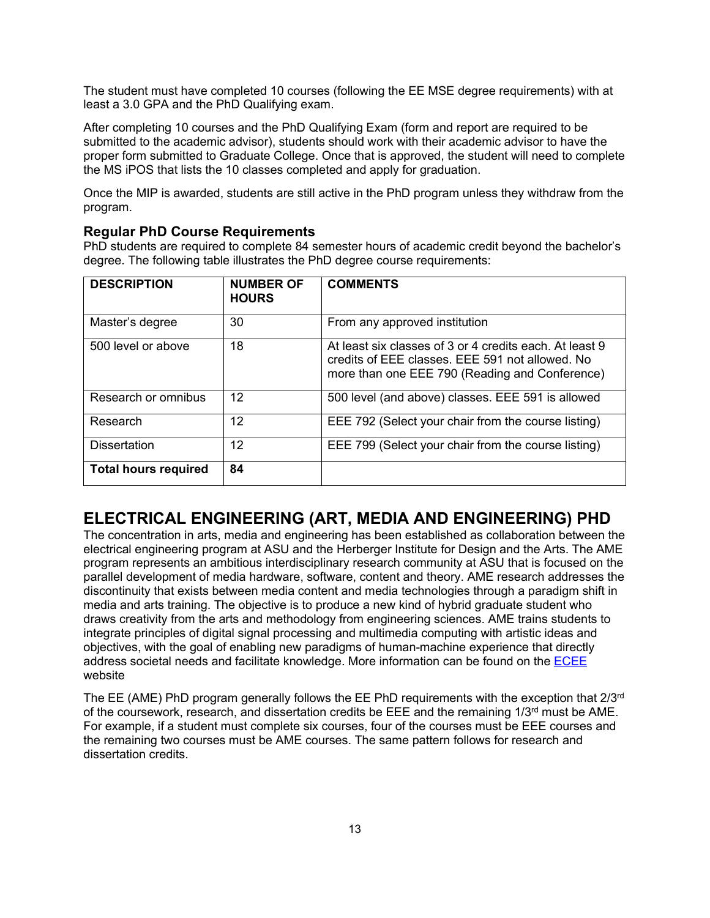The student must have completed 10 courses (following the EE MSE degree requirements) with at least a 3.0 GPA and the PhD Qualifying exam.

After completing 10 courses and the PhD Qualifying Exam (form and report are required to be submitted to the academic advisor), students should work with their academic advisor to have the proper form submitted to Graduate College. Once that is approved, the student will need to complete the MS iPOS that lists the 10 classes completed and apply for graduation.

Once the MIP is awarded, students are still active in the PhD program unless they withdraw from the program.

#### **Regular PhD Course Requirements**

PhD students are required to complete 84 semester hours of academic credit beyond the bachelor's degree. The following table illustrates the PhD degree course requirements:

| <b>DESCRIPTION</b>          | <b>NUMBER OF</b><br><b>HOURS</b> | <b>COMMENTS</b>                                                                                                                                              |
|-----------------------------|----------------------------------|--------------------------------------------------------------------------------------------------------------------------------------------------------------|
| Master's degree             | 30                               | From any approved institution                                                                                                                                |
| 500 level or above          | 18                               | At least six classes of 3 or 4 credits each. At least 9<br>credits of EEE classes. EEE 591 not allowed. No<br>more than one EEE 790 (Reading and Conference) |
| Research or omnibus         | $12 \overline{ }$                | 500 level (and above) classes. EEE 591 is allowed                                                                                                            |
| Research                    | $12 \overline{ }$                | EEE 792 (Select your chair from the course listing)                                                                                                          |
| <b>Dissertation</b>         | $12 \overline{ }$                | EEE 799 (Select your chair from the course listing)                                                                                                          |
| <b>Total hours required</b> | 84                               |                                                                                                                                                              |

# <span id="page-12-0"></span>**ELECTRICAL ENGINEERING (ART, MEDIA AND ENGINEERING) PHD**

The concentration in arts, media and engineering has been established as collaboration between the electrical engineering program at ASU and the Herberger Institute for Design and the Arts. The AME program represents an ambitious interdisciplinary research community at ASU that is focused on the parallel development of media hardware, software, content and theory. AME research addresses the discontinuity that exists between media content and media technologies through a paradigm shift in media and arts training. The objective is to produce a new kind of hybrid graduate student who draws creativity from the arts and methodology from engineering sciences. AME trains students to integrate principles of digital signal processing and multimedia computing with artistic ideas and objectives, with the goal of enabling new paradigms of human-machine experience that directly address societal needs and facilitate knowledge. More information can be found on th[e ECEE](https://ecee.engineering.asu.edu/arts-media-and-engineering-ms-phd/) website

The EE (AME) PhD program generally follows the EE PhD requirements with the exception that  $2/3<sup>rd</sup>$ of the coursework, research, and dissertation credits be EEE and the remaining  $1/3<sup>rd</sup>$  must be AME. For example, if a student must complete six courses, four of the courses must be EEE courses and the remaining two courses must be AME courses. The same pattern follows for research and dissertation credits.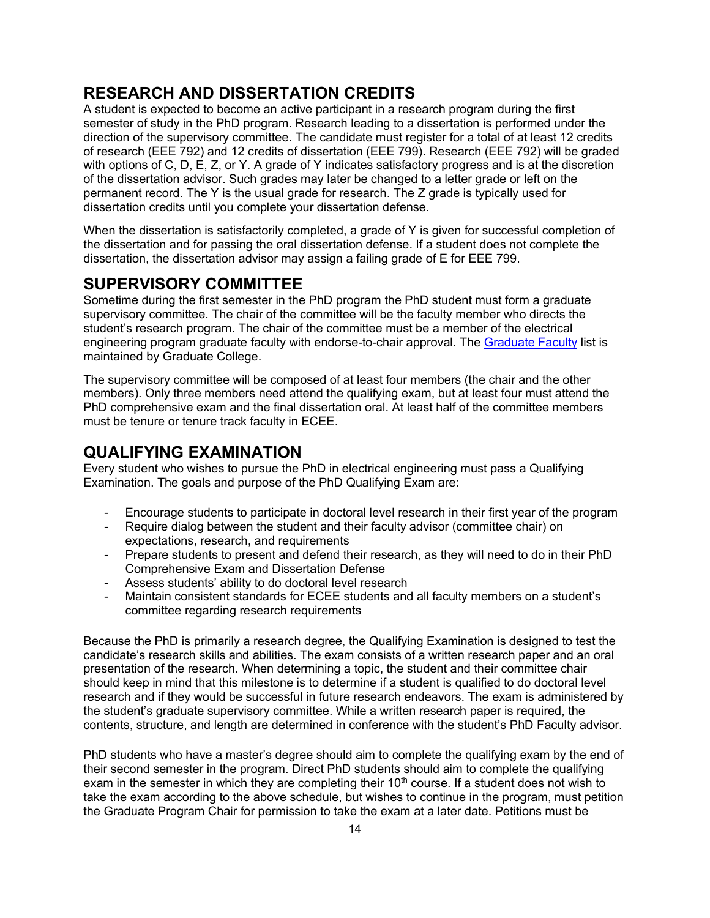# <span id="page-13-0"></span>**RESEARCH AND DISSERTATION CREDITS**

A student is expected to become an active participant in a research program during the first semester of study in the PhD program. Research leading to a dissertation is performed under the direction of the supervisory committee. The candidate must register for a total of at least 12 credits of research (EEE 792) and 12 credits of dissertation (EEE 799). Research (EEE 792) will be graded with options of C, D, E, Z, or Y. A grade of Y indicates satisfactory progress and is at the discretion of the dissertation advisor. Such grades may later be changed to a letter grade or left on the permanent record. The Y is the usual grade for research. The Z grade is typically used for dissertation credits until you complete your dissertation defense.

When the dissertation is satisfactorily completed, a grade of Y is given for successful completion of the dissertation and for passing the oral dissertation defense. If a student does not complete the dissertation, the dissertation advisor may assign a failing grade of E for EEE 799.

### <span id="page-13-1"></span>**SUPERVISORY COMMITTEE**

Sometime during the first semester in the PhD program the PhD student must form a graduate supervisory committee. The chair of the committee will be the faculty member who directs the student's research program. The chair of the committee must be a member of the electrical engineering program graduate faculty with endorse-to-chair approval. The [Graduate Faculty](https://graduate.asu.edu/graduate-faculty/degree/ESEEPHD) list is maintained by Graduate College.

The supervisory committee will be composed of at least four members (the chair and the other members). Only three members need attend the qualifying exam, but at least four must attend the PhD comprehensive exam and the final dissertation oral. At least half of the committee members must be tenure or tenure track faculty in ECEE.

## <span id="page-13-2"></span>**QUALIFYING EXAMINATION**

Every student who wishes to pursue the PhD in electrical engineering must pass a Qualifying Examination. The goals and purpose of the PhD Qualifying Exam are:

- Encourage students to participate in doctoral level research in their first year of the program
- Require dialog between the student and their faculty advisor (committee chair) on expectations, research, and requirements
- Prepare students to present and defend their research, as they will need to do in their PhD Comprehensive Exam and Dissertation Defense
- Assess students' ability to do doctoral level research
- Maintain consistent standards for ECEE students and all faculty members on a student's committee regarding research requirements

Because the PhD is primarily a research degree, the Qualifying Examination is designed to test the candidate's research skills and abilities. The exam consists of a written research paper and an oral presentation of the research. When determining a topic, the student and their committee chair should keep in mind that this milestone is to determine if a student is qualified to do doctoral level research and if they would be successful in future research endeavors. The exam is administered by the student's graduate supervisory committee. While a written research paper is required, the contents, structure, and length are determined in conference with the student's PhD Faculty advisor.

PhD students who have a master's degree should aim to complete the qualifying exam by the end of their second semester in the program. Direct PhD students should aim to complete the qualifying exam in the semester in which they are completing their 10<sup>th</sup> course. If a student does not wish to take the exam according to the above schedule, but wishes to continue in the program, must petition the Graduate Program Chair for permission to take the exam at a later date. Petitions must be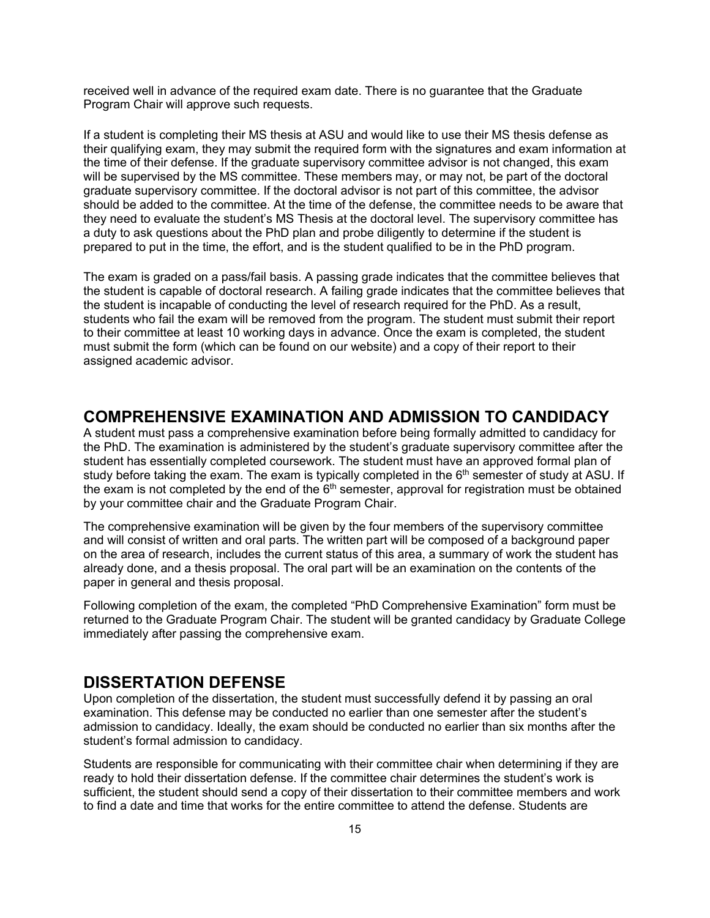received well in advance of the required exam date. There is no guarantee that the Graduate Program Chair will approve such requests.

If a student is completing their MS thesis at ASU and would like to use their MS thesis defense as their qualifying exam, they may submit the required form with the signatures and exam information at the time of their defense. If the graduate supervisory committee advisor is not changed, this exam will be supervised by the MS committee. These members may, or may not, be part of the doctoral graduate supervisory committee. If the doctoral advisor is not part of this committee, the advisor should be added to the committee. At the time of the defense, the committee needs to be aware that they need to evaluate the student's MS Thesis at the doctoral level. The supervisory committee has a duty to ask questions about the PhD plan and probe diligently to determine if the student is prepared to put in the time, the effort, and is the student qualified to be in the PhD program.

The exam is graded on a pass/fail basis. A passing grade indicates that the committee believes that the student is capable of doctoral research. A failing grade indicates that the committee believes that the student is incapable of conducting the level of research required for the PhD. As a result, students who fail the exam will be removed from the program. The student must submit their report to their committee at least 10 working days in advance. Once the exam is completed, the student must submit the form (which can be found on our website) and a copy of their report to their assigned academic advisor.

### <span id="page-14-0"></span>**COMPREHENSIVE EXAMINATION AND ADMISSION TO CANDIDACY**

A student must pass a comprehensive examination before being formally admitted to candidacy for the PhD. The examination is administered by the student's graduate supervisory committee after the student has essentially completed coursework. The student must have an approved formal plan of study before taking the exam. The exam is typically completed in the 6<sup>th</sup> semester of study at ASU. If the exam is not completed by the end of the  $6<sup>th</sup>$  semester, approval for registration must be obtained by your committee chair and the Graduate Program Chair.

The comprehensive examination will be given by the four members of the supervisory committee and will consist of written and oral parts. The written part will be composed of a background paper on the area of research, includes the current status of this area, a summary of work the student has already done, and a thesis proposal. The oral part will be an examination on the contents of the paper in general and thesis proposal.

Following completion of the exam, the completed "PhD Comprehensive Examination" form must be returned to the Graduate Program Chair. The student will be granted candidacy by Graduate College immediately after passing the comprehensive exam.

### <span id="page-14-1"></span>**DISSERTATION DEFENSE**

Upon completion of the dissertation, the student must successfully defend it by passing an oral examination. This defense may be conducted no earlier than one semester after the student's admission to candidacy. Ideally, the exam should be conducted no earlier than six months after the student's formal admission to candidacy.

Students are responsible for communicating with their committee chair when determining if they are ready to hold their dissertation defense. If the committee chair determines the student's work is sufficient, the student should send a copy of their dissertation to their committee members and work to find a date and time that works for the entire committee to attend the defense. Students are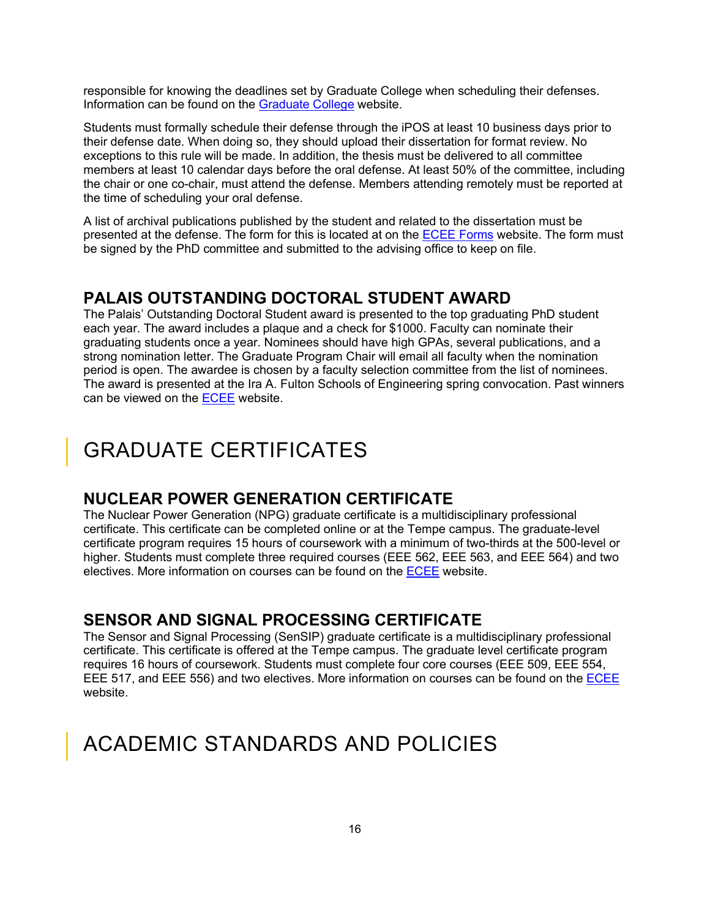responsible for knowing the deadlines set by Graduate College when scheduling their defenses. Information can be found on the [Graduate College](https://graduate.asu.edu/) website.

Students must formally schedule their defense through the iPOS at least 10 business days prior to their defense date. When doing so, they should upload their dissertation for format review. No exceptions to this rule will be made. In addition, the thesis must be delivered to all committee members at least 10 calendar days before the oral defense. At least 50% of the committee, including the chair or one co-chair, must attend the defense. Members attending remotely must be reported at the time of scheduling your oral defense.

A list of archival publications published by the student and related to the dissertation must be presented at the defense. The form for this is located at on the [ECEE Forms](http://ecee.engineering.asu.edu/forms-and-faqs/) website. The form must be signed by the PhD committee and submitted to the advising office to keep on file.

### <span id="page-15-0"></span>**PALAIS OUTSTANDING DOCTORAL STUDENT AWARD**

The Palais' Outstanding Doctoral Student award is presented to the top graduating PhD student each year. The award includes a plaque and a check for \$1000. Faculty can nominate their graduating students once a year. Nominees should have high GPAs, several publications, and a strong nomination letter. The Graduate Program Chair will email all faculty when the nomination period is open. The awardee is chosen by a faculty selection committee from the list of nominees. The award is presented at the Ira A. Fulton Schools of Engineering spring convocation. Past winners can be viewed on the [ECEE](https://ecee.engineering.asu.edu/palais-doctoral-student-award/) website.

# <span id="page-15-1"></span>GRADUATE CERTIFICATES

### <span id="page-15-2"></span>**NUCLEAR POWER GENERATION CERTIFICATE**

The Nuclear Power Generation (NPG) graduate certificate is a multidisciplinary professional certificate. This certificate can be completed online or at the Tempe campus. The graduate-level certificate program requires 15 hours of coursework with a minimum of two-thirds at the 500-level or higher. Students must complete three required courses (EEE 562, EEE 563, and EEE 564) and two electives. More information on courses can be found on the [ECEE](http://ecee.engineering.asu.edu/academics/doctoral-degrees/nuclear-power-generation-certificate/) website.

## <span id="page-15-3"></span>**SENSOR AND SIGNAL PROCESSING CERTIFICATE**

The Sensor and Signal Processing (SenSIP) graduate certificate is a multidisciplinary professional certificate. This certificate is offered at the Tempe campus. The graduate level certificate program requires 16 hours of coursework. Students must complete four core courses (EEE 509, EEE 554, EEE 517, and EEE 556) and two electives. More information on courses can be found on th[e ECEE](https://ecee.engineering.asu.edu/sensor-signal-information-processing-certificate/) website.

# <span id="page-15-4"></span>ACADEMIC STANDARDS AND POLICIES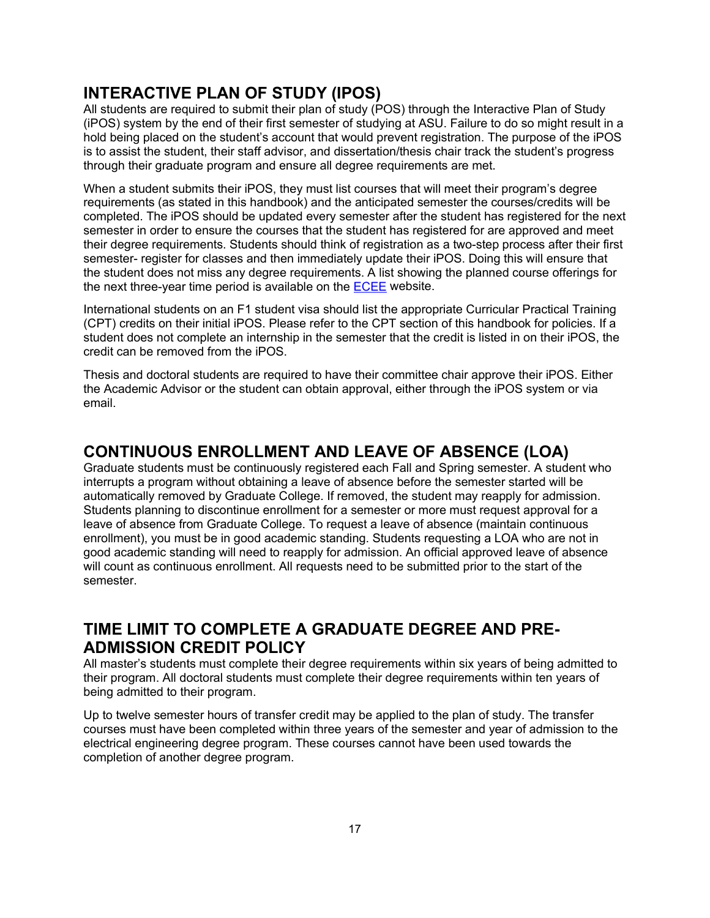# <span id="page-16-0"></span>**INTERACTIVE PLAN OF STUDY (IPOS)**

All students are required to submit their plan of study (POS) through the Interactive Plan of Study (iPOS) system by the end of their first semester of studying at ASU. Failure to do so might result in a hold being placed on the student's account that would prevent registration. The purpose of the iPOS is to assist the student, their staff advisor, and dissertation/thesis chair track the student's progress through their graduate program and ensure all degree requirements are met.

When a student submits their iPOS, they must list courses that will meet their program's degree requirements (as stated in this handbook) and the anticipated semester the courses/credits will be completed. The iPOS should be updated every semester after the student has registered for the next semester in order to ensure the courses that the student has registered for are approved and meet their degree requirements. Students should think of registration as a two-step process after their first semester- register for classes and then immediately update their iPOS. Doing this will ensure that the student does not miss any degree requirements. A list showing the planned course offerings for the next three-year time period is available on the [ECEE](http://ecee.engineering.asu.edu/three-year-course-plans/) website.

International students on an F1 student visa should list the appropriate Curricular Practical Training (CPT) credits on their initial iPOS. Please refer to the CPT section of this handbook for policies. If a student does not complete an internship in the semester that the credit is listed in on their iPOS, the credit can be removed from the iPOS.

Thesis and doctoral students are required to have their committee chair approve their iPOS. Either the Academic Advisor or the student can obtain approval, either through the iPOS system or via email.

## <span id="page-16-1"></span>**CONTINUOUS ENROLLMENT AND LEAVE OF ABSENCE (LOA)**

Graduate students must be continuously registered each Fall and Spring semester. A student who interrupts a program without obtaining a leave of absence before the semester started will be automatically removed by Graduate College. If removed, the student may reapply for admission. Students planning to discontinue enrollment for a semester or more must request approval for a leave of absence from Graduate College. To request a leave of absence (maintain continuous enrollment), you must be in good academic standing. Students requesting a LOA who are not in good academic standing will need to reapply for admission. An official approved leave of absence will count as continuous enrollment. All requests need to be submitted prior to the start of the semester.

# <span id="page-16-2"></span>**TIME LIMIT TO COMPLETE A GRADUATE DEGREE AND PRE-ADMISSION CREDIT POLICY**

All master's students must complete their degree requirements within six years of being admitted to their program. All doctoral students must complete their degree requirements within ten years of being admitted to their program.

Up to twelve semester hours of transfer credit may be applied to the plan of study. The transfer courses must have been completed within three years of the semester and year of admission to the electrical engineering degree program. These courses cannot have been used towards the completion of another degree program.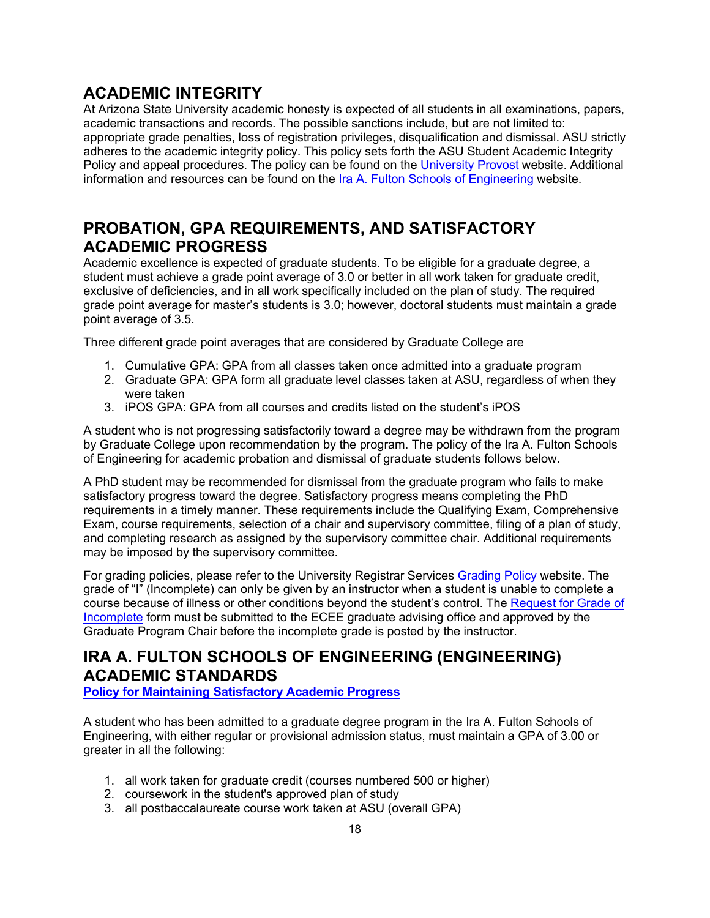# <span id="page-17-0"></span>**ACADEMIC INTEGRITY**

At Arizona State University academic honesty is expected of all students in all examinations, papers, academic transactions and records. The possible sanctions include, but are not limited to: appropriate grade penalties, loss of registration privileges, disqualification and dismissal. ASU strictly adheres to the academic integrity policy. This policy sets forth the ASU Student Academic Integrity Policy and appeal procedures. The policy can be found on th[e University Provost](https://provost.asu.edu/academic-integrity/policy) website. Additional information and resources can be found on the [Ira A. Fulton Schools of Engineering](https://engineering.asu.edu/integrity/) website.

# <span id="page-17-1"></span>**PROBATION, GPA REQUIREMENTS, AND SATISFACTORY ACADEMIC PROGRESS**

Academic excellence is expected of graduate students. To be eligible for a graduate degree, a student must achieve a grade point average of 3.0 or better in all work taken for graduate credit, exclusive of deficiencies, and in all work specifically included on the plan of study. The required grade point average for master's students is 3.0; however, doctoral students must maintain a grade point average of 3.5.

Three different grade point averages that are considered by Graduate College are

- 1. Cumulative GPA: GPA from all classes taken once admitted into a graduate program
- 2. Graduate GPA: GPA form all graduate level classes taken at ASU, regardless of when they were taken
- 3. iPOS GPA: GPA from all courses and credits listed on the student's iPOS

A student who is not progressing satisfactorily toward a degree may be withdrawn from the program by Graduate College upon recommendation by the program. The policy of the Ira A. Fulton Schools of Engineering for academic probation and dismissal of graduate students follows below.

A PhD student may be recommended for dismissal from the graduate program who fails to make satisfactory progress toward the degree. Satisfactory progress means completing the PhD requirements in a timely manner. These requirements include the Qualifying Exam, Comprehensive Exam, course requirements, selection of a chair and supervisory committee, filing of a plan of study, and completing research as assigned by the supervisory committee chair. Additional requirements may be imposed by the supervisory committee.

For grading policies, please refer to the University Registrar Services [Grading Policy](https://students.asu.edu/grades) website. The grade of "I" (Incomplete) can only be given by an instructor when a student is unable to complete a course because of illness or other conditions beyond the student's control. The Request for Grade of [Incomplete](http://students.asu.edu/forms/incomplete-grade-request) form must be submitted to the ECEE graduate advising office and approved by the Graduate Program Chair before the incomplete grade is posted by the instructor.

# <span id="page-17-2"></span>**IRA A. FULTON SCHOOLS OF ENGINEERING (ENGINEERING) ACADEMIC STANDARDS**

**[Policy for Maintaining Satisfactory Academic Progress](https://catalog.asu.edu/policies/engineering)**

A student who has been admitted to a graduate degree program in the Ira A. Fulton Schools of Engineering, with either regular or provisional admission status, must maintain a GPA of 3.00 or greater in all the following:

- 1. all work taken for graduate credit (courses numbered 500 or higher)
- 2. coursework in the student's approved plan of study
- 3. all postbaccalaureate course work taken at ASU (overall GPA)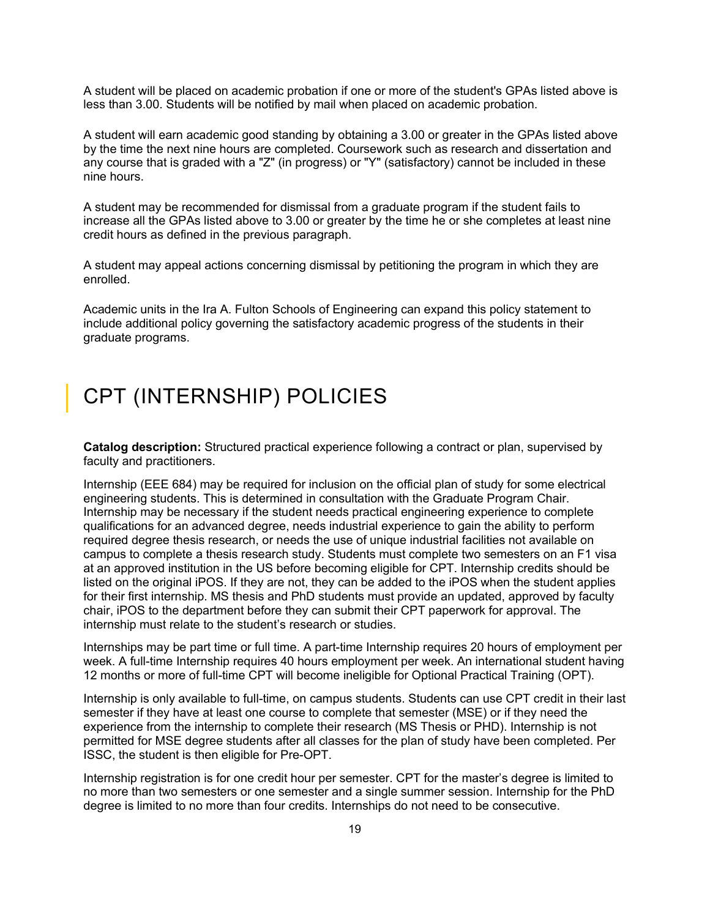A student will be placed on academic probation if one or more of the student's GPAs listed above is less than 3.00. Students will be notified by mail when placed on academic probation.

A student will earn academic good standing by obtaining a 3.00 or greater in the GPAs listed above by the time the next nine hours are completed. Coursework such as research and dissertation and any course that is graded with a "Z" (in progress) or "Y" (satisfactory) cannot be included in these nine hours.

A student may be recommended for dismissal from a graduate program if the student fails to increase all the GPAs listed above to 3.00 or greater by the time he or she completes at least nine credit hours as defined in the previous paragraph.

A student may appeal actions concerning dismissal by petitioning the program in which they are enrolled.

Academic units in the Ira A. Fulton Schools of Engineering can expand this policy statement to include additional policy governing the satisfactory academic progress of the students in their graduate programs.

# <span id="page-18-0"></span>CPT (INTERNSHIP) POLICIES

**Catalog description:** Structured practical experience following a contract or plan, supervised by faculty and practitioners.

Internship (EEE 684) may be required for inclusion on the official plan of study for some electrical engineering students. This is determined in consultation with the Graduate Program Chair. Internship may be necessary if the student needs practical engineering experience to complete qualifications for an advanced degree, needs industrial experience to gain the ability to perform required degree thesis research, or needs the use of unique industrial facilities not available on campus to complete a thesis research study. Students must complete two semesters on an F1 visa at an approved institution in the US before becoming eligible for CPT. Internship credits should be listed on the original iPOS. If they are not, they can be added to the iPOS when the student applies for their first internship. MS thesis and PhD students must provide an updated, approved by faculty chair, iPOS to the department before they can submit their CPT paperwork for approval. The internship must relate to the student's research or studies.

Internships may be part time or full time. A part-time Internship requires 20 hours of employment per week. A full-time Internship requires 40 hours employment per week. An international student having 12 months or more of full-time CPT will become ineligible for Optional Practical Training (OPT).

Internship is only available to full-time, on campus students. Students can use CPT credit in their last semester if they have at least one course to complete that semester (MSE) or if they need the experience from the internship to complete their research (MS Thesis or PHD). Internship is not permitted for MSE degree students after all classes for the plan of study have been completed. Per ISSC, the student is then eligible for Pre-OPT.

Internship registration is for one credit hour per semester. CPT for the master's degree is limited to no more than two semesters or one semester and a single summer session. Internship for the PhD degree is limited to no more than four credits. Internships do not need to be consecutive.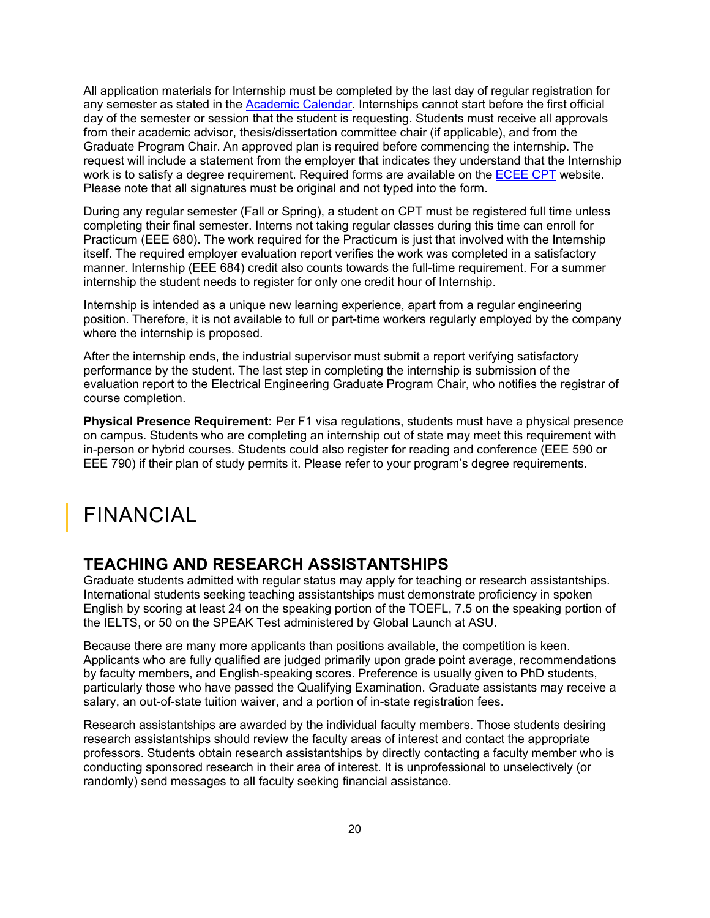All application materials for Internship must be completed by the last day of regular registration for any semester as stated in the [Academic Calendar.](https://students.asu.edu/academic-calendar) Internships cannot start before the first official day of the semester or session that the student is requesting. Students must receive all approvals from their academic advisor, thesis/dissertation committee chair (if applicable), and from the Graduate Program Chair. An approved plan is required before commencing the internship. The request will include a statement from the employer that indicates they understand that the Internship work is to satisfy a degree requirement. Required forms are available on the [ECEE CPT](https://ecee.engineering.asu.edu/cpt/) website. Please note that all signatures must be original and not typed into the form.

During any regular semester (Fall or Spring), a student on CPT must be registered full time unless completing their final semester. Interns not taking regular classes during this time can enroll for Practicum (EEE 680). The work required for the Practicum is just that involved with the Internship itself. The required employer evaluation report verifies the work was completed in a satisfactory manner. Internship (EEE 684) credit also counts towards the full-time requirement. For a summer internship the student needs to register for only one credit hour of Internship.

Internship is intended as a unique new learning experience, apart from a regular engineering position. Therefore, it is not available to full or part-time workers regularly employed by the company where the internship is proposed.

After the internship ends, the industrial supervisor must submit a report verifying satisfactory performance by the student. The last step in completing the internship is submission of the evaluation report to the Electrical Engineering Graduate Program Chair, who notifies the registrar of course completion.

**Physical Presence Requirement:** Per F1 visa regulations, students must have a physical presence on campus. Students who are completing an internship out of state may meet this requirement with in-person or hybrid courses. Students could also register for reading and conference (EEE 590 or EEE 790) if their plan of study permits it. Please refer to your program's degree requirements.

# <span id="page-19-0"></span>FINANCIAL

### <span id="page-19-1"></span>**TEACHING AND RESEARCH ASSISTANTSHIPS**

Graduate students admitted with regular status may apply for teaching or research assistantships. International students seeking teaching assistantships must demonstrate proficiency in spoken English by scoring at least 24 on the speaking portion of the TOEFL, 7.5 on the speaking portion of the IELTS, or 50 on the SPEAK Test administered by Global Launch at ASU.

Because there are many more applicants than positions available, the competition is keen. Applicants who are fully qualified are judged primarily upon grade point average, recommendations by faculty members, and English-speaking scores. Preference is usually given to PhD students, particularly those who have passed the Qualifying Examination. Graduate assistants may receive a salary, an out-of-state tuition waiver, and a portion of in-state registration fees.

Research assistantships are awarded by the individual faculty members. Those students desiring research assistantships should review the faculty areas of interest and contact the appropriate professors. Students obtain research assistantships by directly contacting a faculty member who is conducting sponsored research in their area of interest. It is unprofessional to unselectively (or randomly) send messages to all faculty seeking financial assistance.